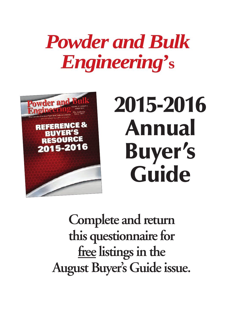## *Powder and Bulk Engineering***' s**



# **2015-2016 Annual Buyer's Guide**

**Complete and return this questionnaire for free listings in the August Buyer's Guide issue.**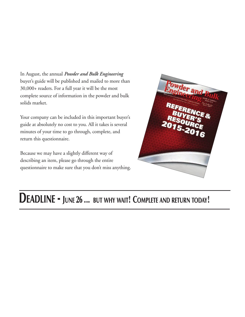In August, the annual *Powder and Bulk Engineering* buyer's guide will be published and mailed to more than 30,000+ readers. For a full year it will be the most complete source of information in the powder and bulk solids market.

Your company can be included in this important buyer's guide at absolutely no cost to you. All it takes is several minutes of your time to go through, complete, and return this questionnaire.

Because we may have a slightly different way of describing an item, please go through the entire questionnaire to make sure that you don't miss anything.



### **DEADLINE - JUNE 26 ... BUT WHY WAIT! COMPLETE AND RETURN TODAY!**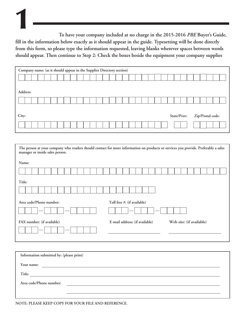**To have your company included at no charge in the 2015-2016** *PBE* **Buyer's Guide, fill in the information below exactly as it should appear in the guide. Typesetting will be done directly from this form, so please type the information requested, leaving blanks wherever spaces between words should appear. Then continue to Step 2: Check the boxes beside the equipment your company supplies 1**

| Company name: (as it should appear in the Supplier Directory section) |  |  |                                 |
|-----------------------------------------------------------------------|--|--|---------------------------------|
|                                                                       |  |  |                                 |
|                                                                       |  |  |                                 |
| Address:                                                              |  |  |                                 |
|                                                                       |  |  |                                 |
|                                                                       |  |  |                                 |
| City:                                                                 |  |  | State/Prov:<br>Zip/Postal code: |
|                                                                       |  |  |                                 |

| manager or inside sales person.                        | The person at your company who readers should contact for more information on products or services you provide. Preferably a sales |  |  |  |
|--------------------------------------------------------|------------------------------------------------------------------------------------------------------------------------------------|--|--|--|
| Name:                                                  |                                                                                                                                    |  |  |  |
|                                                        |                                                                                                                                    |  |  |  |
| Title:                                                 |                                                                                                                                    |  |  |  |
|                                                        |                                                                                                                                    |  |  |  |
| Area code/Phone number:<br>Toll free #: (if available) |                                                                                                                                    |  |  |  |
|                                                        |                                                                                                                                    |  |  |  |
| FAX number: (if available)                             | E-mail address: (if available)<br>Web site: (if available)                                                                         |  |  |  |
|                                                        |                                                                                                                                    |  |  |  |

| Information submitted by: (please print) |  |  |  |
|------------------------------------------|--|--|--|
| Your name:                               |  |  |  |
| Title:                                   |  |  |  |
| Area code/Phone number:                  |  |  |  |
|                                          |  |  |  |
|                                          |  |  |  |

**NOTE: PLEASE KEEP COPY FOR YOUR FILE AND REFERENCE.**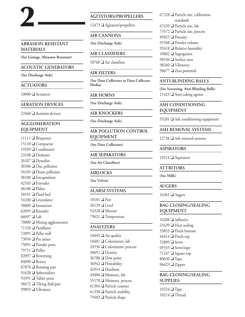#### **ABRASION-RESISTANT MATERIALS**

**(See Linings, Abrasion Resistant)**

#### **ACOUSTIC GENERATORS**

#### **(See Discharge Aids)**

#### **ACTUATORS**

**2**

 $10000$   $\Box$  Actuators

**AERATION DEVICES**

 $22468$   $\Box$  Aeration devices

#### **AGGLOMERATION EQUIPMENT**

11111 □ Briquetter 15110 □ Compactor **□** Conditioner **O** Deduster Densifier Disc pelletizer 34105 Drum pelletizer 38100 Encapsulator  $42103 \square$  Extruder  $46106$  D Flaker  $\Box$  Fluid bed O Granulator  $\Box$  Instantizer  $\Box$  Kneader  $66097 \square$  Lab  $\Box$  Mixing agglomerator  $\Box$  Pastillator  $\Box$  Pellet mill  $\Box$  Pin mixer **□** Powder press  $\Box$  Priller  $\Box$  Rewetting 84090 **Q** Rotary Rotating pan 91628 Spheroidizer 93391 <sup>O</sup> Tablet press **□** Tilting disk/pan 99893 Vibratory

#### **AGITATORS/PROPELLERS**

 $12473$   $\Box$  Agitators/propellers

#### **AIR CANNONS**

**(See Discharge Aids)**

**AIR CLASSIFIERS**

 $10768$   $\Box$  Air classifiers

#### **AIR FILTERS**

**(See Dust Collectors or Dust Collector Media)**

#### **AIR HORNS**

**(See Discharge Aids)**

#### **AIR KNOCKERS**

**(See Discharge Aids)**

#### **AIR POLLUTION CONTROL EQUIPMENT**

**(See Dust Collectors)**

#### **AIR SEPARATORS**

**(See Air Classifiers)**

#### **AIRLOCKS**

**(See Valves)**

#### **ALARM SYSTEMS**

 $10101 \square$  Fire  $26139$  Level 54328 **O** Motion 79621 **□** Temperature

#### **ANALYZERS**

 $\Box$  Air quality  $\Box$  Colorimeter, lab  $\Box$  Colorimeter, process  $30651$  Density Dew point **D** Flowability  $42914$  Hardness  $\Box$  Moisture, lab Moisture, process  $\Box$  Particle counter  $\Box$  Particle mobility 79483 □ Particle shape

 $67228$  Particle size, calibration standards 67439  $\Box$  Particle size, lab 73572  $\Box$  Particle size, process 85825 **□** Porosity 91948 **O** Powder volume 92418  $\Box$  Relative humidity  $10002 \square$  Segregation 98104 Surface area 98260 Vibratory 98677 <sup>O</sup> Zeta potential

#### **ANTI-BLINDING BALLS**

**(See Screening, Anti-Blinding Balls)**  $11423$   $\Box$  Anti-caking agents

#### **ASH CONDITIONING EQUIPMENT**

59201  $\Box$  Ash conditioning equipment

#### **ASH REMOVAL SYSTEMS**

 $12738$   $\Box$  Ash removal systems

#### **ASPIRATORS**

19214  $\Box$  Aspirators

#### **ATTRITORS**

**(See Mills)**

#### **AUGERS**

16361  $\Box$  Augers

#### **BAG CLOSING/SEALING EQUIPMENT**

  $\Box$  Adhesive  $\Box$  Heat sealing 33833 Pinch bottom Pinch top 52809 **□** Sewn  $\Box$  Sewn/tape  $\Box$  Square top  $80030$  **T**ape  $\Box$  Zipper

#### **BAG CLOSING/SEALING SUPPLIES**

 $10224 \square$  Tape  $10214$  Thread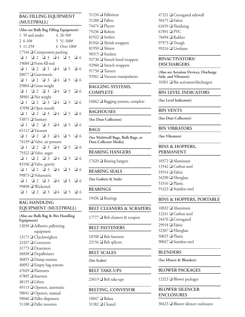#### **BAG FILLING EQUIPMENT (MULTIWALL)**

|          | (Also see Bulk Bag Filling Equipment)                 |  |             |  |  |
|----------|-------------------------------------------------------|--|-------------|--|--|
|          |                                                       |  |             |  |  |
|          | 1 5# and under 4 26-50#<br>2 6-10# 5 51-100#          |  |             |  |  |
| 3 11-25# |                                                       |  | 6 Over 100# |  |  |
|          | 17544 □ Compression packing                           |  |             |  |  |
|          | $Q1$ $Q2$ $Q3$ $Q4$ $Q5$ $Q6$                         |  |             |  |  |
|          | 19684 ■ Form-fill-seal                                |  |             |  |  |
|          | $Q1$ $Q2$ $Q3$ $Q4$ $Q5$ $Q6$                         |  |             |  |  |
|          | 20077 □ Gravimetric                                   |  |             |  |  |
|          |                                                       |  |             |  |  |
|          | 29804 □ Gross weight                                  |  |             |  |  |
|          | $Q1$ $Q2$ $Q3$ $Q4$ $Q5$ $Q6$                         |  |             |  |  |
|          | 38901 ■ Net weight                                    |  |             |  |  |
|          | $\Box$ 1 $\Box$ 2 $\Box$ 3 $\Box$ 4 $\Box$ 5 $\Box$ 6 |  |             |  |  |
|          | 47098 □ Open mouth                                    |  |             |  |  |
|          | $Q1$ $Q2$ $Q3$ $Q4$ $Q5$ $Q6$                         |  |             |  |  |
|          | 53871 ■ Sanitary                                      |  |             |  |  |
|          | $01$ 02 03 04 05 06                                   |  |             |  |  |
|          | 65112 U Vacuum                                        |  |             |  |  |
|          | $Q1$ $Q2$ $Q3$ $Q4$ $Q5$ $Q6$                         |  |             |  |  |
|          | 74139 ■ Valve, air pressure                           |  |             |  |  |
|          | $\Box$ 1 $\Box$ 2 $\Box$ 3 $\Box$ 4 $\Box$ 5 $\Box$ 6 |  |             |  |  |
|          | 79322 ■ Valve, auger                                  |  |             |  |  |
|          | Q1 Q2 Q3 Q4 Q5 Q6                                     |  |             |  |  |
|          | 83106 ■ Valve, gravity                                |  |             |  |  |
|          |                                                       |  |             |  |  |
|          | 99873 U Volumetric                                    |  |             |  |  |
|          | $\Box$ 1 $\Box$ 2 $\Box$ 3 $\Box$ 4 $\Box$ 5 $\Box$ 6 |  |             |  |  |
|          | 99890 ■ Wicketted                                     |  |             |  |  |
|          | $\Box$ 1 $\Box$ 2 $\Box$ 3 $\Box$ 4 $\Box$ 5 $\Box$ 6 |  |             |  |  |

#### **BAG HANDLING EQUIPMENT (MULTIWALL)**

**(Also see Bulk Bag & Bin Handling Equipment)**  $12050$   $\Box$  Adhesive palletizing equipment 13171  $\Box$  Checkweighers  $22437 \square$  Conveyors 31773 Deaerators 36830 Depalletizers  $36855$  Dump stations  $40092 \square$  Empty bag systems  $47649$  **D** Flatteners  $47805$  Inserters 48135  $\Box$  Lifters  $49113$  Openers, automatic 50041  $\Box$  Openers, manual  $50046$  Pallet dispensers  $51100$  **Q** Pallet inverters

51234 □ Palletizers  $51280$  Pallets 74474  $\Box$  Placers  $79236$  Robots 81922 Settlers 81944  $\Box$  Shrink wrappers 81950  $\Box$  Slitters 90315  $\Box$  Stackers 92730  $\Box$  Stretch hood wrappers 92960  $\Box$  Stretch wrappers  $91750$  **Turners** 92961  $\Box$  Vacuum manipulators

#### **BAGGING SYSTEMS, COMPLETE**

 $16662 \square$  Bagging systems, complete

#### **BAGHOUSES**

**(See Dust Collectors)**

#### **BAGS**

**(See Multiwall Bags, Bulk Bags, or Dust Collector Media)**

#### **BEARING HANGERS**

 $17620 \square$  Bearing hangers

#### **BEARING SEALS**

**(See Gaskets & Seals)**

#### **BEARINGS**

19436  $\Box$  Bearings

#### **BELT CLEANERS & SCRAPERS**

 $17777$  Delt cleaners & scrapers

#### **BELT FASTENERS**

 $10708$  **D** Belt fasteners 23156  $\Box$  Belt splicers

#### **BELT SCALES**

**(See Scales)**

#### **BELT TAKE-UPS**

23619 **□** Belt take-ups

#### **BELTING, CONVEYOR**

 $10047$  **Balata** 31382 <sup>O</sup> Cleated  $47321$   $\Box$  Corrugated sidewall 58475  $\Box$  Fabric 63459  $\Box$  Fluidizing  $67891 \square PVC$  $78494$  Rubber  $97973$  Trough 99216  $\Box$  Urethane

#### **BINACTIVATORS/ DISCHARGERS**

**(Also see Aeration Devices, Discharge Aids, and Vibrators)** 10201  $\Box$  Bin activators/dischargers

#### **BIN LEVEL INDICATORS**

**(See Level Indicators)**

#### **BIN VENTS**

**(See Dust Collectors)**

#### **BIN VIBRATORS**

**(See Vibrators)**

#### **BINS & HOPPERS, PERMANENT**

 **a** Aluminum  $\Box$  Carbon steel  $33914$  Fabric  $34290 \square$  Fiberglass  $\Box$  Plastic  $\Box$  Stainless steel

#### **BINS & HOPPERS, PORTABLE**

 **O** Aluminum  $\Box$  Carbon steel **□** Corrugated  $\Box$  Fabric **D** Fiberglass  $50025$  Plastic  $\Box$  Stainless steel

#### **BLENDERS**

**(See Mixers & Blenders)**

#### **BLOWER PACKAGES**

12323  $\Box$  Blower packages

#### **BLOWER SILENCER ENCLOSURES**

 $30423$   $\Box$  Blower silencer enclosures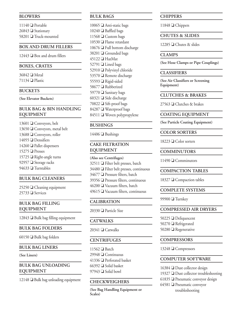#### **BLOWERS**

 $11140$  Portable  $26843$  Stationary 58201 □ Truck-mounted

#### **BOX AND DRUM FILLERS**

 $12443$   $\Box$  Box and drum fillers

#### **BOXES, CRATES**

36842 **O** Metal 71134  $\Box$  Plastic

#### **BUCKETS**

**(See Elevator Buckets)**

#### **BULK BAG & BIN HANDLING EQUIPMENT**

 $\Box$  Conveyors, belt  $\Box$  Conveyors, metal belt  $\Box$  Conveyors, roller Densifiers **Q** Pallet dispensers  $15275$  Presses  $\Box$  Right-angle turns **■** Storage racks **O** Turntables

#### **BULK BAG CLEANERS**

 $25250$   $\Box$  Cleaning equipment  $25733$  Services

#### **BULK BAG FILLING EQUIPMENT**

 $12843$   $\Box$  Bulk bag filling equipment

#### **BULK BAG FOLDERS**

60150  $\Box$  Bulk bag folders

#### **BULK BAG LINERS**

**(See Liners)**

#### **BULK BAG UNLOADING EQUIPMENT**

 $12148$   $\Box$  Bulk bag unloading equipment

#### **BULK BAGS**

  $\Box$  Anti-static bags  $\Box$  Baffled bags 11568 Custom bags **□** Flame retardant  $\Box$  Full bottom discharge  $\Box$  Grounded bags  $\Box$  HazMat **□** Lined bags Polyvinyl chloride  $\Box$  Remote discharge **□** Rigid-sided **□** Rubberized **■** Sanitary bags  $\Box$  Side discharge  $\Box$  Sift-proof bags 84287 Waterproof bags 84511 Woven polypropylene

#### **BUSHINGS**

 $14406$  **D** Bushings

#### **CAKE FILTRATION EQUIPMENT**

**(Also see Centrifuges)**  $\Box$  Filter belt presses, batch  $34480 \square$  Filter belt presses, continuous  $\Box$  Pressure filters, batch Pressure filters, continuous  $\Box$  Vacuum filters, batch  $\Box$  Vacuum filters, continuous

#### **CALIBRATION**

 $20330$  **D** Particle Size

#### **CATWALKS**

 $20341$  O Catwalks

#### **CENTRIFUGES**

 $\Box$  Batch  $\Box$  Continuous  $\Box$  Perforated basket  $\Box$  Solid basket  $\Box$  Solid bowl

#### **CHECKWEIGHERS**

**(See Bag Handling Equipment or Scales)**

#### **CHIPPERS**

11848 **□** Chippers

#### **CHUTES & SLIDES**

12285  $\Box$  Chutes & slides

#### **CLAMPS**

**(See Hose Clamps or Pipe Couplings)**

#### **CLASSIFIERS**

**(See Air Classifiers or Screening Equipment)**

#### **CLUTCHES & BRAKES**

 $27563$   $\Box$  Clutches & brakes

#### **COATING EQUIPMENT**

**(See Particle Coating Equipment)**

#### **COLOR SORTERS**

 $18223 \square$  Color sorters

#### **COMMINUTORS**

11490  $\Box$  Comminutors

#### **COMPACTION TABLES**

18327  $\Box$  Compaction tables

#### **COMPLETE SYSTEMS**

99900  $\Box$  Turnkey

#### **COMPRESSED AIR DRYERS**

50225 Deliquescent 50270 **□** Refrigerated 50280 **□** Regenerative

#### **COMPRESSORS**

13248 **□ Compressors** 

#### **COMPUTER SOFTWARE**

 $16384 \square$  Dust collector design 19327  $\Box$  Dust collector troubleshooting  $61835$  Pneumatic conveyor design  $64581$  **O** Pneumatic conveyor troubleshooting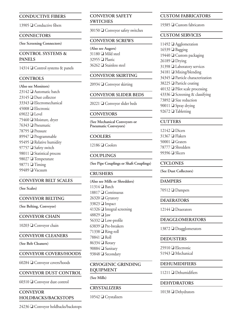#### **CONDUCTIVE FIBERS**

 $13905$   $\Box$  Conductive fibers

#### **CONNECTORS**

**(See Screening Connectors)**

#### **CONTROL SYSTEMS & PANELS**

14314  $\Box$  Control systems & panels

#### **CONTROLS**

**(Also see Monitors)**  $\Box$  Automatic batch Dust collector 33343 D Electromechanical **D** Electronic  $69022$  **Level**  $\Box$  Moisture, dryer  $\Box$  Pneumatic  $\Box$  Pressure 89947 Programmable  $\Box$  Relative humidity  $\Box$  Safety switch  $\Box$  Statistical process 98027 <sup>O</sup> Temperature  $98771$  Timing  $\Box$  Vacuum

#### **CONVEYOR BELT SCALES**

#### **(See Scales)**

**CONVEYOR BELTING**

**(See Belting, Conveyor)**

**CONVEYOR CHAIN**

10203 □ Conveyor chain

**CONVEYOR CLEANERS**

**(See Belt Cleaners)**

#### **CONVEYOR COVERS/HOODS**

60284  $\Box$  Conveyor covers/hoods

**CONVEYOR DUST CONTROL**

60310  $\Box$  Conveyor dust control

#### **CONVEYOR HOLDBACKS/BACKSTOPS**

 $24236$   $\Box$  Conveyor holdbacks/backstops

#### **CONVEYOR SAFETY SWITCHES**

 $30150$   $\Box$  Conveyor safety switches

#### **CONVEYOR SCREWS**

**(Also see Augers)**  $31180$  Mild steel 32955 <sup>D</sup> Plastic  $36262$  **O** Stainless steel

#### **CONVEYOR SKIRTING**

20934  $\Box$  Conveyor skirting

#### **CONVEYOR SLIDER BEDS**

20221  $\Box$  Conveyor slider beds

#### **CONVEYORS**

**(See Mechanical Conveyors or Pneumatic Conveyors)**

#### **COOLERS**

 $12186$   $\Box$  Coolers

#### **COUPLINGS**

**(See Pipe Couplings or Shaft Couplings)**

#### **CRUSHERS**

**(Also see Mills or Shredders)**  $11314$  Batch  $18817$   $\Box$  Continuous  $26320 \square$  Gyratory 33823 **I**mpact  $41326$  Integral screening 48829  $\Box$  Jaw  $56332 \square$  Low-profile 63839  $\Box$  Pre-breakers  $71338$   $\Box$  Ring-roll  $78841 \square$  Roll  $86334$  **Rotary** 90884 Sanitary 93848 Secondary

#### **CRYOGENIC GRINDING EQUIPMENT**

**(See Mills)**

#### **CRYSTALIZERS**

 $10542 \square$  Crystalizers

#### **CUSTOM FABRICATORS**

19385  $\Box$  Custom fabricators

#### **CUSTOM SERVICES**

 **Q** Agglomeration  $16539$  Bagging **□** Custom packaging  $26189$  Drying 31398 Laboratory services  $34181 \square$  Mixing/blending **O** Particle characterization Particle coating Pilot scale processing  $\Box$  Screening & classifying  $\Box$  Size reduction  $\Box$  Spray drying  $\Box$  Tabletting

#### **CUTTERS**

 $12142 \square$  Dicers  $31367$  **D** Flakers 50001  $\Box$  Graters 78777 Shredders 99396  $\Box$  Slicers

#### **CYCLONES**

**(See Dust Collectors)**

#### **DAMPERS**

70512  $\Box$  Dampers

**DEAERATORS**

12144  $\Box$  Deaerators

#### **DEAGGLOMERATORS**

13872  $\Box$  Deagglomerators

#### **DEDUSTERS**

 $25910$  **D** Electronic 51943 Mechanical

#### **DEHUMIDIFIERS**

 $11211$  **O** Dehumidifiers

#### **DEHYDRATORS**

10138 **□** Dehydrators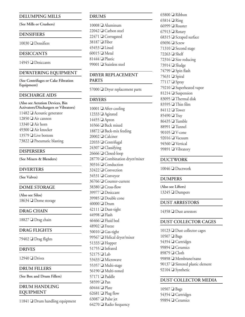#### **DELUMPING MILLS**

**(See Mills or Crushers)**

#### **DENSIFIERS**

 $10030$  Densifiers

#### **DESICCANTS**

 $14945$  Desiccants

#### **DEWATERING EQUIPMENT**

**(See Centrifuges or Cake Filtration Equipment)**

#### **DISCHARGE AIDS**

**(Also see Aeration Devices, Bin Activators/Dischargers or Vibrators)**  $\Box$  Acoustic generator  $\Box$  Air cannon  $\Box$  Air horn  $\Box$  Air knocker Live bottom 73822 Pneumatic blasting

#### **DISPERSERS**

**(See Mixers & Blenders)**

#### **DIVERTERS**

**(See Valves)**

#### **DOME STORAGE**

**(Also see Silos)** 18634  $\Box$  Dome storage

#### **DRAG CHAIN**

18827 **□** Drag chain

#### **DRAG FLIGHTS**

79402  $\Box$  Drag flights

#### **DRIVES**

 $12940$  Drives

#### **DRUM FILLERS**

**(See Box and Drum Fillers)**

#### **DRUM HANDLING EQUIPMENT**

11841  $\Box$  Drum handling equipment

#### **DRUMS**

  $\Box$  Aluminum  $\Box$  Carbon steel **□** Corrugated 38187 **□** Fiber  $\Box$  Lined  $60015$  Metal  $\Box$  Plastic  $\Box$  Stainless steel

#### **DRYER REPLACEMENT**

**PARTS**

 $57000$  Dryer replacement parts

#### **DRYERS**

 $10001$   $\Box$  After-cooling 12333 Agitated  $14455$   $\Box$  Apron  $16566$  **D** Back mixed  $18872 \square$  Back-mix feeding  $20002$  O Calciner  $22033$   $\Box$  Centrifugal  $24307 \square$  Classifying  $26666$   $\Box$  Closed-loop  $28770$   $\Box$  Combination dryer/mixer 30316 □ Conduction  $32422 \square$  Convection 34531 **□** Conveyor 36766 **□** Counter-current  $38380 \square$  Cross-flow 39977 Desiccant 39985 Double cone  $40000$  Drum  $42111$  Dust-tight  $44998$  **P** Flash  $46466$  **D** Fluid bed  $48902$  Freeze  $50010 \square$  Gas-tight 99567 **Helical dryer/mixer** 51333 **Hopper**  $51755$  Infrared 52175  $\Box$  Lab 53433 **■** Microwave 55357 D Multi-stage  $56190$   $\Box$  Multi-zoned  $57171$  Paddle 58599 **Pan**  $60444$  **D** Plate  $62681$  **D** Plug flow 63087  $\Box$  Pulse jet  $64270$  **Q** Radio frequency

 $65800$  Ribbon  $65814$  Ring 66999  $\Box$  Roaster  $67913$  Rotary 68315  $\Box$  Scraped surface  $69696 \square$  Screw 71310  $\Box$  Second stage  $72263$  Shelf 72316  $\Box$  Size reducing 73914  $\Box$  Sludge  $74799 \square$  Spin flash 75631  $\Box$  Spiral  $77117$  Spray 79210 Superheated vapor 81214 Suspension 83095 <sup>T</sup>hermal disk  $83595 \square$  Thin film  $84112$  Tower  $85490 \square$  Tray  $86435$  Tumble 88991  $\Box$  Tunnel  $90105$   $\Box$  V-cone  $92016$  Vacuum  $94560$   $\Box$  Vertical 99891 Vibratory

#### **DUCTWORK**

 $10046$  Ductwork

#### **DUMPERS**

**(Also see Lifters)**  $13245 \square$  Dumpers

#### **DUST ARRESTORS**

14358  $\Box$  Dust arrestors

#### **DUST COLLECTOR CAGES**

 Dust collector cages  $10507$  **Bags □** Cartridges  $\Box$  Ceramics 89879 **Q** Cloth 99898 D Membrane/nano  $\Box$  Sintered plastic element Synthetic

#### **DUST COLLECTOR MEDIA**

 $10507$  **Bags** 54354 **□** Cartridges  $99894 \square$  Ceramics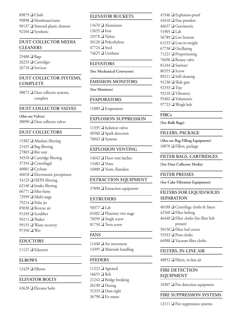89879 **Q** Cloth 99898 Membrane/nano 90137  $\Box$  Sintered plastic element  $92104$  Synthetic

#### **DUST COLLECTOR MEDIA CLEANERS**

 $25480 \square$  Bags  $26233$   $\Box$  Cartridges  $26710$  Services

#### **DUST COLLECTOR SYSTEMS, COMPLETE**

 $30072$  Dust collector systems, complete

#### **DUST COLLECTOR VALVES**

**(Also see Valves)**  $30090$   $\Box$  Dust collector valves

#### **DUST COLLECTORS**

  $\Box$  Absolute filtering **D** Bag filtering  $27803 \square$  Bin vent  $\Box$  Cartridge filtering 37334 Centrifugal  $\Box$  Cyclone **D** Electrostatic precipitator  $\Box$  HEPA filtering Intake filtering Mist-fume 72999 Multi-stage **D** Pulse jet **Q** Reverse air  $\Box$  Scrubber  $94111$  Shaker  $\Box$  Waste recovery 97350 **Wet** 

#### **EDUCTORS**

 $11121 \square$  Eductors

#### **ELBOWS**

 $12429 \square$  Elbows

#### **ELEVATOR BOLTS**

43628  $\Box$  Elevator bolts

#### **ELEVATOR BUCKETS**

 $11670$  **D** Aluminum  $12633$  Iron 23578 **W** Nylon  $36120$  **D** Polyethylene  $47724$  **O** Steel 74625  $\Box$  Urethane

#### **ELEVATORS**

**(See Mechanical Conveyors)**

#### **EMISSION MONITORS**

**(See Monitors)**

#### **EVAPORATORS**

11089  $\Box$  Evaporators

#### **EXPLOSION SUPPRESSION**

11335  $\Box$  Isolation valves 40560  $\Box$  Spark detection 76043  $\Box$  Systems

#### **EXPLOSION VENTING**

 $14642 \square$  Door vent latches  $15483 \square$  Vents  $16000 \square$  Vents, flameless

#### **EXTRACTION EQUIPMENT**

 $37890$  Extraction equipment

#### **EXTRUDERS**

 $50377$   $\Box$  Lab  $\Box$  Planetary two stage  $\Box$  Single screw  $\Box$  Twin screw

#### **FANS**

 $11440$   $\Box$  Air movement 14395  $\Box$  Materials handling

#### **FEEDERS**

 $11222 \square$  Agitated  $16655 \square$  Belt  $21242 \square$  Bridge breaking  $26190 \square$  Dosing  $31333$  Dust-tight 36798 **a** En masse

 $41946$  Explosion-proof  $43410 \square$  Fine powders  $46637 \square$  Gravimetric 51905  $\Box$  Lab 56789 **□** Live bottom  $61233$  Loss-in-weight  $67730$  Oscillating 71221  $\Box$  Proportioning 76696  $\Box$  Rotary valve  $81244$  Sanitary  $86555 \square$  Screw 89211  $\Box$  Self-cleaning 91230  $\Box$  Slide gate 92333 **T**ray 93218 Vibratory 95402 **□** Volumetric  $97723$  Weigh belt

#### **FIBCs**

**(See Bulk Bags)**

#### **FILLERS, PACKAGE**

**(Also see Bag Filling Equipment)**  $10070$  **D** Fillers, package

#### **FILTER BAGS, CARTRIDGES**

**(See Dust Collector Media)**

#### **FILTER PRESSES**

**(See Cake Filtration Equipment)**

#### **FILTERS FOR LIQUID/SOLID SEPARATION**

 $\Box$  Centrifuge cloths & liners  $\Box$  Filter belting  $\Box$  Filter cloths (for filter belt presses)  $\Box$  Filter leaf covers  $\Box$  Press cloths  $\Box$  Vacuum filter cloths

#### **FILTERS, IN-LINE AIR**

48852  $\Box$  Filters, in-line air

#### **FIRE DETECTION EQUIPMENT**

 $10307$   $\Box$  Fire detection equipment

#### **FIRE SUPPRESSION SYSTEMS**

 $12111 \square$  Fire suppression systems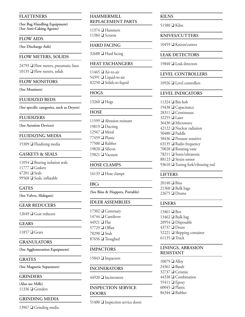#### **FLATTENERS**

**(See Bag Handling Equipment) (See Anti-Caking Agents)**

#### **FLOW AIDS**

**(See Discharge Aids)**

#### **FLOW METERS, SOLIDS**

 $24793 \square$  Flow meters, pneumatic lines  $10135$   $\Box$  Flow meters, solids

#### **FLOW MONITORS**

#### **(See Monitors)**

#### **FLUIDIZED BEDS**

**(See specific categories, such as Dryers)**

#### **FLUIDIZERS**

**(See Aeration Devices)**

#### **FLUIDIZING MEDIA**

 $15309$   $\Box$  Fluidizing media

#### **GASKETS & SEALS**

11054  $\Box$  Bearing isolation seals  $11777 \square$  Gaskets  $47201$  **O** Seals 99568 G Seals, inflatable

#### **GATES**

**(See Valves, Slidegate)**

#### **GEAR REDUCERS**

12649  $\Box$  Gear reducers

**GEARS**

 $11857 \square$  Gears

#### **GRANULATORS**

**(See Agglomeration Equipment)**

**GRATES**

**(See Magnetic Separators)**

#### **GRINDERS**

**(Also see Mills)** 11336  $\Box$  Grinders

#### **GRINDING MEDIA**

13967  $\Box$  Grinding media

#### **HAMMERMILL REPLACEMENT PARTS**

 $11374$  **Hammers**  $11384 \square$  Screens

#### **HARD FACING**

32688 Hard facing

#### **HEAT EXCHANGERS**

 $11465$   $\Box$  Air-to-air 54391 **□** Liquid-to-air  $82250$  Solids-to-liquid

#### **HOGS**

 $13260 \square$  Hogs

#### **HOSE**

11599  $\Box$  Abrasion resistant  $19819$  Ducting  $12567$   $\Box$  Metal 77459  $\Box$  Plastic 77500 **□** Rubber  $19820$  Silicon 19821 <sup>O</sup> Vacuum

#### **HOSE CLAMPS**

 $16133 \square$  Hose clamps

#### **IBCs**

**(See Bins & Hoppers, Portable)**

#### **IDLER ASSEMBLIES**

17302  $\Box$  Cantenary  $14744$   $\Box$  Cantilever  $44921 \square$  Flat  $57729$  Offset 78290 **■** Stub  $87656$   $\Box$  Troughed

#### **IMPACTORS**

 $15843$  Impactors

#### **INCINERATORS**

 $44920$  Incinerators

#### **INSPECTION SERVICE DOORS**

51400  $\Box$  Inspection service doors

#### **KILNS**

51580  $\Box$  Kilns

#### **KNIVES/CUTTERS**

10459 **■** Knives/cutters

#### **LEAK DETECTORS**

19840  $\Box$  Leak detectors

#### **LEVEL CONTROLLERS**

 $10926$  Level controllers

#### **LEVEL INDICATORS**

 $11324 \square$  Bin-bob **□** Capacitance 28311 <del>□</del> Continuous  $32255$  Laser Microwave  $\Box$  Nuclear radiation  $50480$  **D** Paddle  $\Box$  Pressure sensitive **Q** Radio frequency  $\Box$  Rotating vane **□** Sonic/ultrasonic 88123 Strain sensor  $\Box$  Tuning fork/vibrating rod

#### **LIFTERS**

 $20140$  D Bins  $21360$  **D** Bulk bags  $22675$  Drums

#### **LINERS**

 $13461 \square$  Box  $13462 \square$  Bulk bag  $20954$  Disposable  $43737 \square$  Drum 52221  $\Box$  Shipping container  $61135$  Truck

#### **LININGS, ABRASION RESISTANT**

 $10079$   $\Box$  Alloy  $24361$  **B**asalt 32737 O Ceramic 44338 Combination  $55411$   $\Box$  Epoxy  $60045$  **D** Plastic 84344 Q Rubber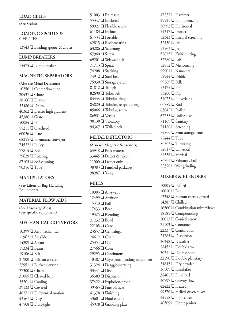#### **LOAD CELLS**

**(See Scales)**

#### **LOADING SPOUTS & CHUTES**

13543  $\Box$  Loading spouts & chutes

#### **LUMP BREAKERS**

15475  $\Box$  Lump breakers

#### **MAGNETIC SEPARATORS**

**(Also see Metal Detectors)**  $\Box$  Center flow tube  $\Box$  Chute  $28166$  Drawer  $33480$  Drum  $\Box$  Electro high gradient  $45386$  Grate  $\Box$  Hump  $\Box$  Overhead  $\Box$  Plate Pneumatic conveyor  $\Box$  Pulley  $77814$  Roll  $\Box$  Rotating Self-cleaning  $90356$  Tube

#### **MANIPULATORS**

**(See Lifters or Bag Handling Equipment)**

#### **MATERIAL FLOW AIDS**

**(See Discharge Aids) (See specific equipment)**

#### **MECHANICAL CONVEYORS**

 $\Box$  Aeromechanical  $\Box$  Air slide  $\Box$  Apron 15334 **B**eam  $19106$  **D** Belt  $21900 \square$  Belt, air assisted  $\Box$  Bucket elevator 27300 O Chain  $\Box$  Cleated belt O Cooling  $\Box$  Covered Differential motion  $43567$  Drag Dust-tight

 $51003 \square$  En masse  $\Box$  Enclosed  $\Box$  Flexible screw  $61183$  Inclined  $\Box$  Portable Reciprocating Screening  $67960$  Screw  $\Box$  Sidewall belt  $71713$  Spiral  $\Box$  Stacking  $\Box$  Steel belt  $\Box$  Storage system  $81812$  Trough  $\Box$  Tube, belt  $\Box$  Tubular, drag  $\Box$  Tubular, reciprocating  $\Box$  Tubular, screw **□** Vertical  $\Box$  Vibratory  $\Box$  Walled belt

#### **METAL DETECTORS**

**(Also see Magnetic Separators)** 63948  $\Box$  Bulk material  $33445$  Detect & reject  $11000 \square$  Detect only 98983 **D** Finished packages 98987 V-ray

#### **MILLS**

  $\Box$  Air-swept  $\Box$  Attrition  $15340$  **Ball**  $17433 \square$  Bead  $\Box$  Blending  $21232 \square$  Bowl  $22105 \square$  Cage  $\Box$  Centrifugal  $24612$  Chain  $\Box$  Colloid  $27566 \square$  Cone  $\Box$  Continuous  $\Box$  Cryogenic grinding equipment Deagglomerating 33441 **□** Disc Dispersion  $37422 \square$  Explosion-proof  $\Box$  Fine particle Finishing  $\Box$  Fluid energy Grinding plate

 $47232 \square$  Hammer 49521 **□** Homogenizing 50992 **Horizontal** 51347  $\Box$  Impact 52343  $\Box$  Integral screening 52450  $\Box$  Jar 52563  $\Box$  Jet  $52675$   $\Box$  Knife cutting 52780 **Lab** 52852  $\Box$  Micronizing 99901  $\Box$  Nano-size  $52944$  Pebble 99569  $\Box$  Pellet 53175 **□ Pin** 53200  $\Box$  Pug 54073  $\Box$  Pulverizing  $60789$  Rod  $63042$  **D** Roller  $67735$   $\Box$  Roller disc 71169 **■ Sanitary** 71180  $\Box$  Screening  $72866$  Semi-autogeneous 78444 **□** Tube  $80303$  Tumbling  $82017$  **O** Universal  $84356$  Vertical 86763 Vibratory ball 88320  $\Box$  Wet grinding

#### **MIXERS & BLENDERS**

 **D** Baffled  $10010$  **D** Bin **Bottom** entry agitated  $14387 \square$  Chilled  $\Box$  Combination mixer/dryer  $\Box$  Compounding  $20012 \square$  Conical screw  $\Box$  Container  $22337 \square$  Continuous Dispersion Dissolver  $28452 \square$  Double arm Double cone Double planetary Dry powder **D** Emulsifier 38401 <sup>O</sup> Fluid bed  $\Box$  Gravity flow 42422 **a** Heated **D** Helical dryer/mixer  $\Box$  High shear  $\Box$  Homogenizer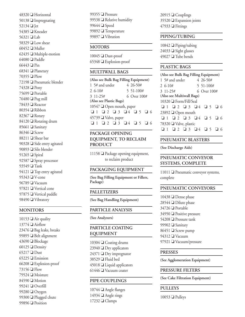$\Box$  Horizontal  $\Box$  Impregnating 52134 **o** Jet  $\Box$  Kneader 56321  $\Box$  Lab  $\Box$  Low shear  $\Box$  Muller  $\Box$  Multiple-motion  $64080$  **D** Paddle  $66443 \square$  Pin  $\Box$  Planetary  $70355 \square$  Plow  $\Box$  Pneumatic blender  $74328 \square$  Pony  $\Box$  Portable  $\Box$  Pug mill  $\Box$  Reactor  $80354$  Ribbon  $\Box$  Rotary Rotating drum  $\Box$  Sanitary  $\Box$  Screw  $\Box$  Shear bar  $\Box$  Side entry agitated **□** Silo blender  $91265$  Spiral **Spray processor** 93549 **Tank**  $\Box$  Top entry agitated 95343 <sup>O</sup> V-cone 96789 Vacuum 97821 Vertical cone  $\Box$  Vertical paddle  $\Box$  Vibratory

#### **MONITORS**

10153  $\Box$  Air quality  $13774$   $\Box$  Airflow  $23476$  **D** Bag leaks, breaks 99895  $\Box$  Belt alignment  $43690$  **D** Blockage  $60125$  Density  $65217$  Dust  $65225$  Emission  $66208 \square$  Explosion-proof  $73156 \square$  Flow 79524  $\Box$  Moisture  $84590$  Motion 99241 **□** Overfill 99280 Oxygen 99300  $\Box$  Plugged chute 99896  $\Box$  Position

99355  $\Box$  Pressure 99538  $\Box$  Relative humidity 99644  $\Box$  Speed 99892 <sup>T</sup>emperature 99897 <sup>O</sup> Vibration

#### **MOTORS**

 $10045$  Dust-proof  $65348 \square$  Explosion-proof

#### **MULTIWALL BAGS**

|                           | (Also see Bulk Bag Filling Equipment) |
|---------------------------|---------------------------------------|
| 1 5# and under            | 4 26-50#                              |
| $26-10#$                  | 5 51-100#                             |
| 3 11-25#                  | 6 Over 100#                           |
| (Also see Plastic Bags)   |                                       |
| 10547 □ Open mouth, paper |                                       |
|                           | $Q_1 Q_2 Q_3 Q_4 Q_5 Q_6$             |
| 45739 ■ Valve, paper      |                                       |
|                           | $Q_1 Q_2 Q_3 Q_4 Q_5 Q_6$             |

#### **PACKAGE OPENING EQUIPMENT, TO RECLAIM PRODUCT**

 $11158$  Package opening equipment, to reclaim product

#### **PACKAGING EQUIPMENT**

**(See Bag Filling Equipment or Fillers, Package)**

#### **PALLETIZERS**

**(See Bag Handling Equipment)**

#### **PARTICLE ANALYSIS**

**(See Analyzers)**

#### **PARTICLE COATING EQUIPMENT**

 $10304 \square$  Coating drums Dry applicators Dry impregnator **D** Fluid bed  $\Box$  Liquid applicators  $\Box$  Vacuum coater

#### **PIPE COUPLINGS**

 $10744$   $\Box$  Angle flanges 14934  $\Box$  Angle rings  $17232 \square$  Clamps

 $20915$   $\Box$  Couplings  $35520 \square$  Expansion joints  $47933 \square$  Fittings

#### **PIPING/TUBING**

 $10842 \square$  Piping/tubing  $24033 \square$  Sight glasses  $49027$  **O** Tube bends

#### **PLASTIC BAGS**

**(Also see Bulk Bag Filling Equipment)** 1 5# and under 4 26-50#  $2\,6-10\#$  5 51-100# 3 11-25# 6 Over 100# **(Also see Multiwall Bags)**  $10320$   $\Box$  Form/Fill/Seal o 1 o 2 o 3 o 4 o 5 o 6  $23892 \square$  Open mouth o 1 o 2 o 3 o 4 o 5 o 6 78320  $\Box$  Valve, plastic  $\Box$  1  $\Box$  2  $\Box$  3  $\Box$  4  $\Box$  5  $\Box$  6

#### **PNEUMATIC BLASTERS**

**(See Discharge Aids)**

#### **PNEUMATIC CONVEYOR SYSTEMS, COMPLETE**

11011  $\Box$  Pneumatic conveyor systems, complete

#### **PNEUMATIC CONVEYORS**

 $\Box$  Dense phase  $\Box$  Dilute phase  $34726$  Portable Positive pressure  $\Box$  Pressure tank  $\Box$  Sanitary  $\Box$  Screw pump  $94312$  Vacuum 97921 Vacuum/pressure

#### **PRESSES**

**(See Agglomeration Equipment)**

#### **PRESSURE FILTERS**

**(See Cake Filtration Equipment)**

#### **PULLEYS**

 $10053$  **D** Pulleys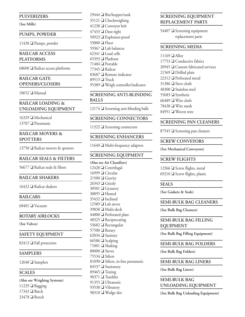#### **PULVERIZERS**

**(See Mills)**

#### **PUMPS, POWDER**

 $11430 \square$  Pumps, powder

#### **RAILCAR ACCESS PLATFORMS**

68600  $\Box$  Railcar access platforms

#### **RAILCAR GATE OPENERS/CLOSERS**

 $10652$   $\Box$  Manual

#### **RAILCAR LOADING & UNLOADING EQUIPMENT**

 $16329$  Mechanical 13707  $\Box$  Pneumatic

#### **RAILCAR MOVERS & SPOTTERS**

13750  $\Box$  Railcar movers & spotters

#### **RAILCAR SEALS & FILTERS**

 $56677$   $\Box$  Railcar seals & filters

#### **RAILCAR SHAKERS**

 $16432$  **Q** Railcar shakers

#### **RAILCARS**

 $68401$   $\Box$  Vacuum

**ROTARY AIRLOCKS**

**(See Valves)**

#### **SAFETY EQUIPMENT**

82413  $\Box$  Fall protection

#### **SAMPLERS**

 $12648$  **G** Samplers

#### **SCALES**

**(Also see Weighing Systems)** 11229  $\Box$  Bagging  $17343$  **Batch**  $23478$  Bench

 $29444$  **D** Bin/hopper/tank  $35121 \square$  Checkweighing 41238  $\Box$  Conveyor belt  $47433$  Dust-tight  $50923 \square$  Explosion-proof  $53000 \square$  Floor 59367  $\Box$  Lab balances  $62341$   $\Box$  Load cells  $65393$  Platform 71404  $\Box$  Portable 77345  $\Box$  Railcar 83687 **Q** Remote indicator  $89513$  Truck 95389 Weigh controller/indicator

#### **SCREENING ANTI-BLINDING BALLS**

 $12174 \square$  Screening anti-blinding balls

#### **SCREENING CONNECTORS**

11322  $\Box$  Screening connectors

#### **SCREENING ENHANCERS**

 $11640$   $\Box$  Multi-frequency adapters

#### **SCREENING EQUIPMENT**

**(Also see Air Classifiers)**  $12428$   $\Box$  Centrifugal  $16999 \square$  Circular  $21500$  Gravity  $26343$  **Grizzly** 30501 **□** Gyratory 30895 **a** Heated  $35432$  Inclined 12589 **□** Lab sieves 39838 **■** Multi-deck  $44000$   $\Box$  Perforated plate 48325  $\Box$  Reciprocating 53682  $\Box$  Rectangular  $57500$   $\Box$  Rotary  $62034$  Sanitary  $66586$  Scalping  $71001$  Shaking 80000 **□** Sieves 75534  $\Box$  Sifters 81090  $\Box$  Sifters, in-line pneumatic 84537 Stationary 89465  $\Box$  Testing 90371  $\Box$  Tumbler 91355 **□** Ultrasonic 93530  $\Box$  Vibratory 98310  $\Box$  Wedge slot

#### **SCREENING EQUIPMENT REPLACEMENT PARTS**

 $54407$   $\Box$  Screening equipment replacement parts

#### **SCREENING MEDIA**

  $\Box$  Alloy  $\Box$  Conductive fabrics  $\Box$  Custom fabricated services  $\Box$  Drilled plate **D** Perforated metal  $\Box$  Sieve cloth  $\Box$  Stainless steel  $\Box$  Synthetic  $66489 \square$  Wire cloth **□** Wire mesh Woven wire

#### **SCREENING PAN CLEANERS**

 $87545 \square$  Screening pan cleaners

#### **SCREW CONVEYORS**

**(See Mechanical Conveyors)**

#### **SCREW FLIGHTS**

12366  $\Box$  Screw flights, metal 69210  $\Box$  Screw flights, plastic

#### **SEALS**

**(See Gaskets & Seals)**

#### **SEMI-BULK BAG CLEANERS**

**(See Bulk Bag Cleaners)**

#### **SEMI-BULK BAG FILLING EQUIPMENT**

**(See Bulk Bag Filling Equipment)**

#### **SEMI-BULK BAG FOLDERS**

**(See Bulk Bag Folders)**

#### **SEMI-BULK BAG LINERS**

**(See Bulk Bag Liners)**

#### **SEMI-BULK BAG UNLOADING EQUIPMENT**

**(See Bulk Bag Unloading Equipment)**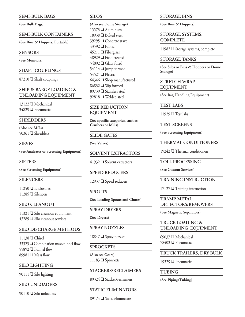#### **SEMI-BULK BAGS**

**(See Bulk Bags)**

#### **SEMI-BULK CONTAINERS**

**(See Bins & Hoppers, Portable)**

#### **SENSORS**

**(See Monitors)**

#### **SHAFT COUPLINGS**

 $87210$  Shaft couplings

#### **SHIP & BARGE LOADING & UNLOADING EQUIPMENT**

 $13122 \square$  Mechanical  $34829$  Pneumatic

#### **SHREDDERS**

**(Also see Mills)** 50361  $\Box$  Shredders

#### **SIEVES**

**(See Analyzers or Screening Equipment)**

**SIFTERS**

**(See Screening Equipment)**

#### **SILENCERS**

 $11250$   $\Box$  Enclosures  $11285$   $\Box$  Silencers

#### **SILO CLEANOUT**

11321  $\Box$  Silo cleanout equipment  $43289$   $\Box$  Silo cleanout services

#### **SILO DISCHARGE METHODS**

  $\Box$  Chisel  $\Box$  Combination mass/funnel flow  $\Box$  Funnel flow  $\Box$  Mass flow

#### **SILO LIGHTING**

90111  $\Box$  Silo lighting

#### **SILO UNLOADERS**

 $90110$   $\Box$  Silo unloaders

#### **SILOS**

**(Also see Dome Storage)**  $\Box$  Aluminum  $\Box$  Bolted steel  $\Box$  Concrete stave 43592 <sup>D</sup> Fabric **D** Fiberglass  $\Box$  Field erected  $54092 \square$  Glass-fused  $\Box$  Jump formed 54521 □ Plastic  $\Box$  Shop manufactured 86832 Slip formed  $\Box$  Stainless steel Welded steel

#### **SIZE REDUCTION EQUIPMENT**

**(See specific categories, such as Crushers or Mills)**

#### **SLIDE GATES**

**(See Valves)**

#### **SOLVENT EXTRACTORS**

 $41932$  Solvent extractors

#### **SPEED REDUCERS**

12937  $\Box$  Speed reducers

#### **SPOUTS**

**(See Loading Spouts and Chutes)**

#### **SPRAY DRYERS**

**(See Dryers)**

#### **SPRAY NOZZLES**

18847 **■** Spray nozzles

#### **SPROCKETS**

**(Also see Gears)** 11183 **□** Sprockets

#### **STACKERS/RECLAIMERS**

89324 Stacker/reclaimers

#### **STATIC ELIMINATORS**

89174  $\Box$  Static eliminators

#### **STORAGE BINS**

**(See Bins & Hoppers)**

#### **STORAGE SYSTEMS, COMPLETE**

11982  $\Box$  Storage systems, complete

#### **STORAGE TANKS**

**(See Silos or Bins & Hoppers or Dome Storage)**

**STRETCH WRAP EQUIPMENT**

**(See Bag Handling Equipment)**

**TEST LABS**

 $11929$  Test labs

**TEST SCREENS**

**(See Screening Equipment)**

**THERMAL CONDITIONERS**

 $19242$   $\Box$  Thermal conditioners

**TOLL PROCESSING**

**(See Custom Services)**

#### **TRAINING INSTRUCTION**

 $17127$  Training instruction

#### **TRAMP METAL DETECTORS/REMOVERS**

**(See Magnetic Separators)**

#### **TRUCK LOADING & UNLOADING EQUIPMENT**

69037  $\Box$  Mechanical 78402 □ Pneumatic

#### **TRUCK TRAILERS, DRY BULK**

19329  $\Box$  Pneumatic

#### **TUBING**

**(See Piping/Tubing)**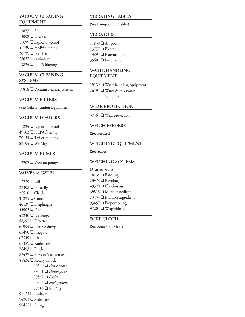#### **VACUUM CLEANING EQUIPMENT**

12877 **□** Air  $13002 \square$  Electric  $15699 \square$  Explosion-proof  $41739$   $\Box$  HEPA filtering  $20199$  Portable 35022 Stationary 19824  $\Box$  ULPA filtering

#### **VACUUM CLEANING SYSTEMS**

19818  $\Box$  Vacuum cleaning systems

#### **VACUUM FILTERS**

**(See Cake Filtration Equipment)**

#### **VACUUM LOADERS**

 $11224 \square$  Explosion-proof  $\Box$  HEPA filtering  $\Box$  Trailer-mounted **O** Wet/dry

#### **VACUUM PUMPS**

 $12203$   $\Box$  Vacuum pumps

#### **VALVES & GATES**

 $13239$  **D** Ball  $22302 \square$  Butterfly  $25510$  Check 31295 **□** Cone  $40139$  Diaphragm 44903 Disc 49230  $\Box$  Discharge 58392 **□** Diverter 61994  $\Box$  Double-dump 65490  $\Box$  Flapgate 67349  $\Box$  Iris 67389  $\Box$  Knife gates 76493 **□ Pinch** 83422  $\Box$  Pressure/vacuum relief 85834 Rotary airlock 99540 Dense phase 99541 Dilute phase 99542 D Feeder 99544 *High pressure* 99545 **Sanitary** 91134 Sanitary 94201  $\Box$  Slide gate 99482  $\Box$  Swing

#### **VIBRATING TABLES**

**(See Compaction Tables)**

#### **VIBRATORS**

 $\Box$  Air pads **□** Electric  $\Box$  External bin **O** Pneumatic

#### **WASTE HANDLING EQUIPMENT**

19139  $\Box$  Waste handling equipment 26195 **■ Water & wastewater** equipment

#### **WEAR PROTECTION**

 $37565$  Wear protection

#### **WEIGH FEEDERS**

**(See Feeders)**

#### **WEIGHING EQUIPMENT**

**(See Scales)**

#### **WEIGHING SYSTEMS**

**(Also see Scales)**  $\Box$  Batching **D** Blending 49320 <del>□</del> Continuous  $\Box$  Micro ingredient  $\Box$  Multiple ingredient  $\Box$  Proportioning 97201 Weigh/blend

#### **WIRE CLOTH**

**(See Screening Media)**